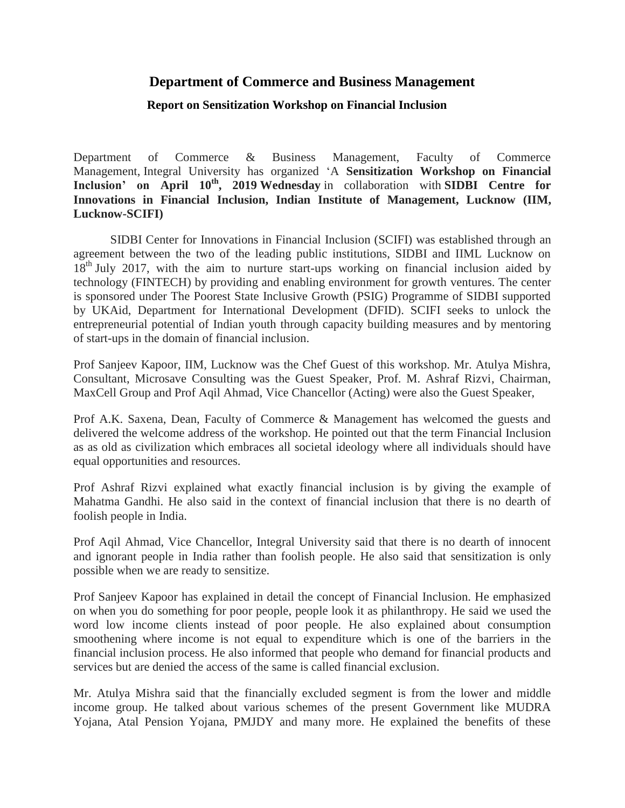## **Department of Commerce and Business Management**

## **Report on Sensitization Workshop on Financial Inclusion**

Department of Commerce & Business Management, Faculty of Commerce Management, Integral University has organized 'A **Sensitization Workshop on Financial Inclusion' on April 10th, 2019 Wednesday** in collaboration with **SIDBI Centre for Innovations in Financial Inclusion, Indian Institute of Management, Lucknow (IIM, Lucknow-SCIFI)**

SIDBI Center for Innovations in Financial Inclusion (SCIFI) was established through an agreement between the two of the leading public institutions, SIDBI and IIML Lucknow on 18<sup>th</sup> July 2017, with the aim to nurture start-ups working on financial inclusion aided by technology (FINTECH) by providing and enabling environment for growth ventures. The center is sponsored under The Poorest State Inclusive Growth (PSIG) Programme of SIDBI supported by UKAid, Department for International Development (DFID). SCIFI seeks to unlock the entrepreneurial potential of Indian youth through capacity building measures and by mentoring of start-ups in the domain of financial inclusion.

Prof Sanjeev Kapoor, IIM, Lucknow was the Chef Guest of this workshop. Mr. Atulya Mishra, Consultant, Microsave Consulting was the Guest Speaker, Prof. M. Ashraf Rizvi, Chairman, MaxCell Group and Prof Aqil Ahmad, Vice Chancellor (Acting) were also the Guest Speaker,

Prof A.K. Saxena, Dean, Faculty of Commerce & Management has welcomed the guests and delivered the welcome address of the workshop. He pointed out that the term Financial Inclusion as as old as civilization which embraces all societal ideology where all individuals should have equal opportunities and resources.

Prof Ashraf Rizvi explained what exactly financial inclusion is by giving the example of Mahatma Gandhi. He also said in the context of financial inclusion that there is no dearth of foolish people in India.

Prof Aqil Ahmad, Vice Chancellor, Integral University said that there is no dearth of innocent and ignorant people in India rather than foolish people. He also said that sensitization is only possible when we are ready to sensitize.

Prof Sanjeev Kapoor has explained in detail the concept of Financial Inclusion. He emphasized on when you do something for poor people, people look it as philanthropy. He said we used the word low income clients instead of poor people. He also explained about consumption smoothening where income is not equal to expenditure which is one of the barriers in the financial inclusion process. He also informed that people who demand for financial products and services but are denied the access of the same is called financial exclusion.

Mr. Atulya Mishra said that the financially excluded segment is from the lower and middle income group. He talked about various schemes of the present Government like MUDRA Yojana, Atal Pension Yojana, PMJDY and many more. He explained the benefits of these